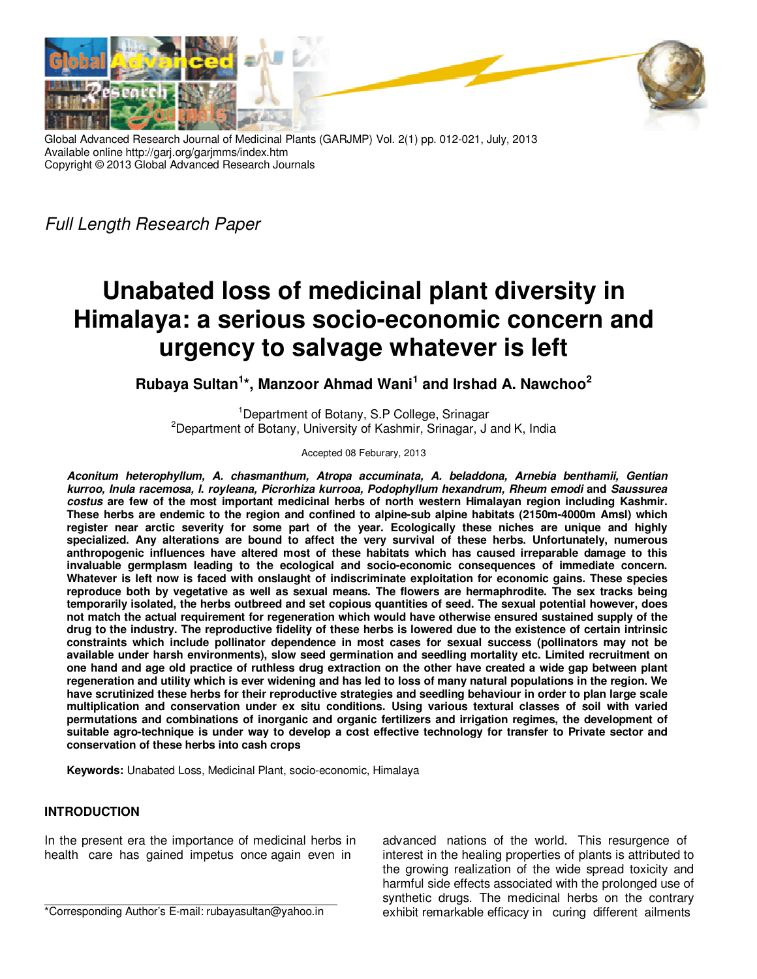

Global Advanced Research Journal of Medicinal Plants (GARJMP) Vol. 2(1) pp. 012-021, July, 2013 Available online http://garj.org/garjmms/index.htm Copyright © 2013 Global Advanced Research Journals

Full Length Research Paper

# **Unabated loss of medicinal plant diversity in Himalaya: a serious socio-economic concern and urgency to salvage whatever is left**

**Rubaya Sultan<sup>1</sup> \*, Manzoor Ahmad Wani<sup>1</sup> and Irshad A. Nawchoo<sup>2</sup>**

<sup>1</sup>Department of Botany, S.P College, Srinagar <sup>2</sup>Department of Botany, University of Kashmir, Srinagar, J and K, India

Accepted 08 Feburary, 2013

**Aconitum heterophyllum, A. chasmanthum, Atropa accuminata, A. beladdona, Arnebia benthamii, Gentian kurroo, Inula racemosa, I. royleana, Picrorhiza kurrooa, Podophyllum hexandrum, Rheum emodi and Saussurea costus are few of the most important medicinal herbs of north western Himalayan region including Kashmir. These herbs are endemic to the region and confined to alpine-sub alpine habitats (2150m-4000m Amsl) which register near arctic severity for some part of the year. Ecologically these niches are unique and highly specialized. Any alterations are bound to affect the very survival of these herbs. Unfortunately, numerous anthropogenic influences have altered most of these habitats which has caused irreparable damage to this invaluable germplasm leading to the ecological and socio-economic consequences of immediate concern. Whatever is left now is faced with onslaught of indiscriminate exploitation for economic gains. These species reproduce both by vegetative as well as sexual means. The flowers are hermaphrodite. The sex tracks being temporarily isolated, the herbs outbreed and set copious quantities of seed. The sexual potential however, does not match the actual requirement for regeneration which would have otherwise ensured sustained supply of the drug to the industry. The reproductive fidelity of these herbs is lowered due to the existence of certain intrinsic constraints which include pollinator dependence in most cases for sexual success (pollinators may not be available under harsh environments), slow seed germination and seedling mortality etc. Limited recruitment on one hand and age old practice of ruthless drug extraction on the other have created a wide gap between plant regeneration and utility which is ever widening and has led to loss of many natural populations in the region. We have scrutinized these herbs for their reproductive strategies and seedling behaviour in order to plan large scale multiplication and conservation under ex situ conditions. Using various textural classes of soil with varied permutations and combinations of inorganic and organic fertilizers and irrigation regimes, the development of suitable agro-technique is under way to develop a cost effective technology for transfer to Private sector and conservation of these herbs into cash crops** 

**Keywords:** Unabated Loss, Medicinal Plant, socio-economic, Himalaya

## **INTRODUCTION**

In the present era the importance of medicinal herbs in health care has gained impetus once again even in

advanced nations of the world. This resurgence of interest in the healing properties of plants is attributed to the growing realization of the wide spread toxicity and harmful side effects associated with the prolonged use of synthetic drugs. The medicinal herbs on the contrary exhibit remarkable efficacy in curing different ailments

\*Corresponding Author's E-mail: rubayasultan@yahoo.in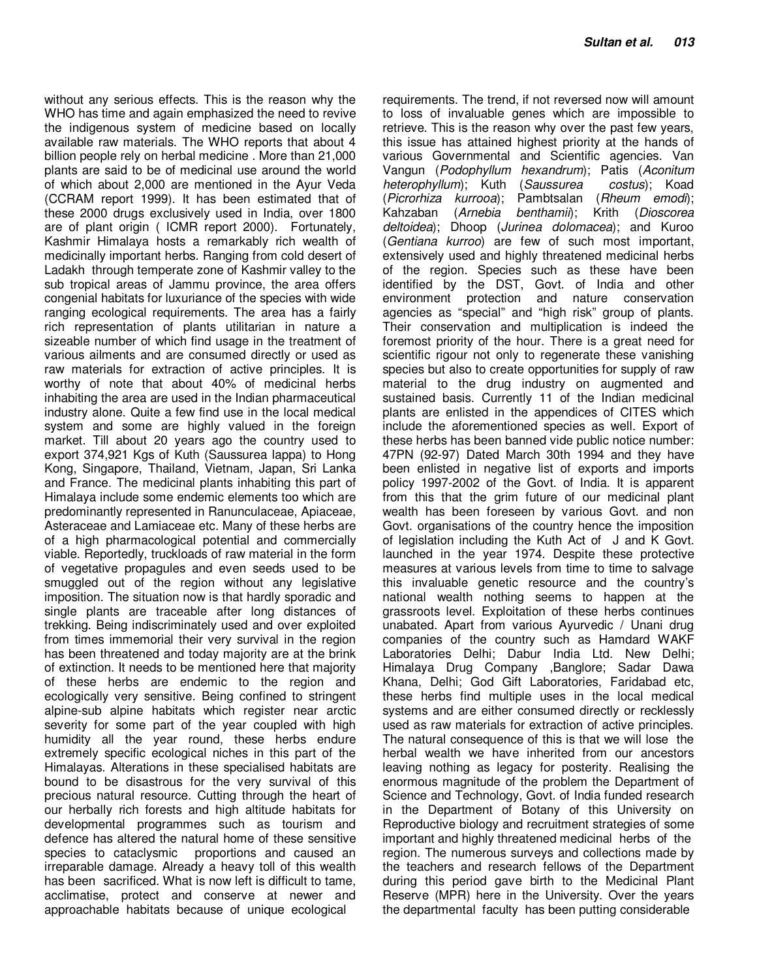without any serious effects. This is the reason why the WHO has time and again emphasized the need to revive the indigenous system of medicine based on locally available raw materials. The WHO reports that about 4 billion people rely on herbal medicine . More than 21,000 plants are said to be of medicinal use around the world of which about 2,000 are mentioned in the Ayur Veda (CCRAM report 1999). It has been estimated that of these 2000 drugs exclusively used in India, over 1800 are of plant origin ( ICMR report 2000). Fortunately, Kashmir Himalaya hosts a remarkably rich wealth of medicinally important herbs. Ranging from cold desert of Ladakh through temperate zone of Kashmir valley to the sub tropical areas of Jammu province, the area offers congenial habitats for luxuriance of the species with wide ranging ecological requirements. The area has a fairly rich representation of plants utilitarian in nature a sizeable number of which find usage in the treatment of various ailments and are consumed directly or used as raw materials for extraction of active principles. It is worthy of note that about 40% of medicinal herbs inhabiting the area are used in the Indian pharmaceutical industry alone. Quite a few find use in the local medical system and some are highly valued in the foreign market. Till about 20 years ago the country used to export 374,921 Kgs of Kuth (Saussurea lappa) to Hong Kong, Singapore, Thailand, Vietnam, Japan, Sri Lanka and France. The medicinal plants inhabiting this part of Himalaya include some endemic elements too which are predominantly represented in Ranunculaceae, Apiaceae, Asteraceae and Lamiaceae etc. Many of these herbs are of a high pharmacological potential and commercially viable. Reportedly, truckloads of raw material in the form of vegetative propagules and even seeds used to be smuggled out of the region without any legislative imposition. The situation now is that hardly sporadic and single plants are traceable after long distances of trekking. Being indiscriminately used and over exploited from times immemorial their very survival in the region has been threatened and today majority are at the brink of extinction. It needs to be mentioned here that majority of these herbs are endemic to the region and ecologically very sensitive. Being confined to stringent alpine-sub alpine habitats which register near arctic severity for some part of the year coupled with high humidity all the year round, these herbs endure extremely specific ecological niches in this part of the Himalayas. Alterations in these specialised habitats are bound to be disastrous for the very survival of this precious natural resource. Cutting through the heart of our herbally rich forests and high altitude habitats for developmental programmes such as tourism and defence has altered the natural home of these sensitive species to cataclysmic proportions and caused an irreparable damage. Already a heavy toll of this wealth has been sacrificed. What is now left is difficult to tame, acclimatise, protect and conserve at newer and approachable habitats because of unique ecological

requirements. The trend, if not reversed now will amount to loss of invaluable genes which are impossible to retrieve. This is the reason why over the past few years, this issue has attained highest priority at the hands of various Governmental and Scientific agencies. Van Vangun (Podophyllum hexandrum); Patis (Aconitum heterophyllum); Kuth (Saussurea costus); Koad (Picrorhiza kurrooa); Pambtsalan (Rheum emodi); Kahzaban (Arnebia benthamii); Krith (Dioscorea deltoidea); Dhoop (Jurinea dolomacea); and Kuroo (Gentiana kurroo) are few of such most important, extensively used and highly threatened medicinal herbs of the region. Species such as these have been identified by the DST, Govt. of India and other environment protection and nature conservation agencies as "special" and "high risk" group of plants. Their conservation and multiplication is indeed the foremost priority of the hour. There is a great need for scientific rigour not only to regenerate these vanishing species but also to create opportunities for supply of raw material to the drug industry on augmented and sustained basis. Currently 11 of the Indian medicinal plants are enlisted in the appendices of CITES which include the aforementioned species as well. Export of these herbs has been banned vide public notice number: 47PN (92-97) Dated March 30th 1994 and they have been enlisted in negative list of exports and imports policy 1997-2002 of the Govt. of India. It is apparent from this that the grim future of our medicinal plant wealth has been foreseen by various Govt. and non Govt. organisations of the country hence the imposition of legislation including the Kuth Act of J and K Govt. launched in the year 1974. Despite these protective measures at various levels from time to time to salvage this invaluable genetic resource and the country's national wealth nothing seems to happen at the grassroots level. Exploitation of these herbs continues unabated. Apart from various Ayurvedic / Unani drug companies of the country such as Hamdard WAKF Laboratories Delhi; Dabur India Ltd. New Delhi; Himalaya Drug Company ,Banglore; Sadar Dawa Khana, Delhi; God Gift Laboratories, Faridabad etc, these herbs find multiple uses in the local medical systems and are either consumed directly or recklessly used as raw materials for extraction of active principles. The natural consequence of this is that we will lose the herbal wealth we have inherited from our ancestors leaving nothing as legacy for posterity. Realising the enormous magnitude of the problem the Department of Science and Technology, Govt. of India funded research in the Department of Botany of this University on Reproductive biology and recruitment strategies of some important and highly threatened medicinal herbs of the region. The numerous surveys and collections made by the teachers and research fellows of the Department during this period gave birth to the Medicinal Plant Reserve (MPR) here in the University. Over the years the departmental faculty has been putting considerable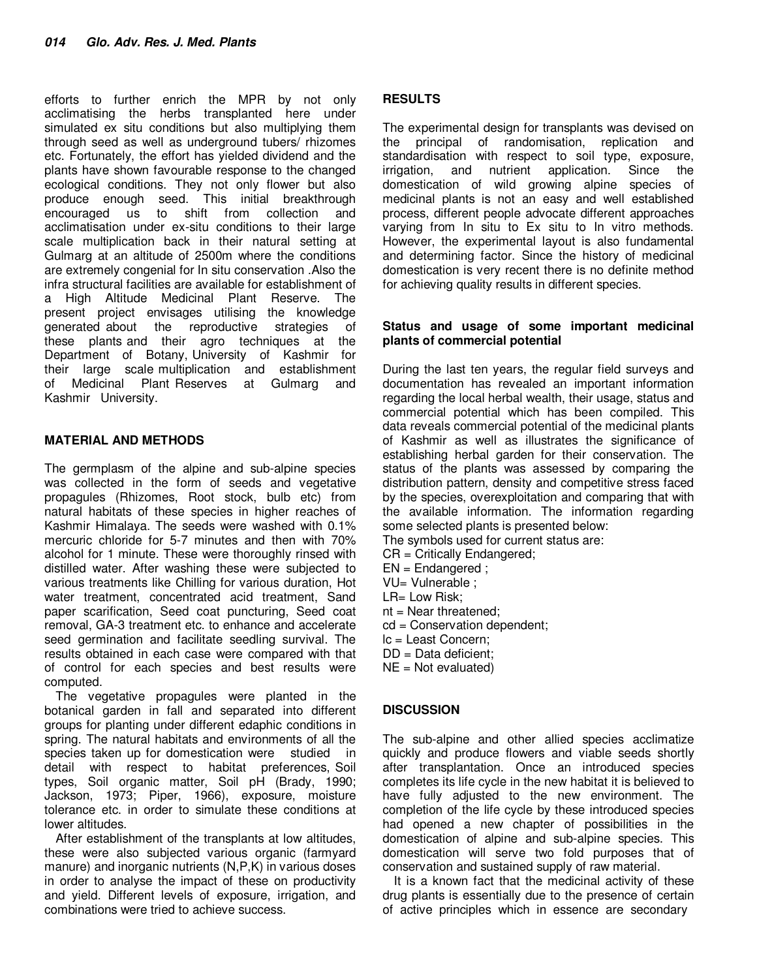efforts to further enrich the MPR by not only acclimatising the herbs transplanted here under simulated ex situ conditions but also multiplying them through seed as well as underground tubers/ rhizomes etc. Fortunately, the effort has yielded dividend and the plants have shown favourable response to the changed ecological conditions. They not only flower but also produce enough seed. This initial breakthrough encouraged us to shift from collection and acclimatisation under ex-situ conditions to their large scale multiplication back in their natural setting at Gulmarg at an altitude of 2500m where the conditions are extremely congenial for In situ conservation .Also the infra structural facilities are available for establishment of a High Altitude Medicinal Plant Reserve. The present project envisages utilising the knowledge generated about the reproductive strategies of these plants and their agro techniques at the Department of Botany, University of Kashmir for their large scale multiplication and establishment of Medicinal Plant Reserves at Gulmarg and Kashmir University.

## **MATERIAL AND METHODS**

The germplasm of the alpine and sub-alpine species was collected in the form of seeds and vegetative propagules (Rhizomes, Root stock, bulb etc) from natural habitats of these species in higher reaches of Kashmir Himalaya. The seeds were washed with 0.1% mercuric chloride for 5-7 minutes and then with 70% alcohol for 1 minute. These were thoroughly rinsed with distilled water. After washing these were subjected to various treatments like Chilling for various duration, Hot water treatment, concentrated acid treatment, Sand paper scarification, Seed coat puncturing, Seed coat removal, GA-3 treatment etc. to enhance and accelerate seed germination and facilitate seedling survival. The results obtained in each case were compared with that of control for each species and best results were computed.

The vegetative propagules were planted in the botanical garden in fall and separated into different groups for planting under different edaphic conditions in spring. The natural habitats and environments of all the species taken up for domestication were studied in detail with respect to habitat preferences, Soil types, Soil organic matter, Soil pH (Brady, 1990; Jackson, 1973; Piper, 1966), exposure, moisture tolerance etc. in order to simulate these conditions at lower altitudes.

After establishment of the transplants at low altitudes, these were also subjected various organic (farmyard manure) and inorganic nutrients (N,P,K) in various doses in order to analyse the impact of these on productivity and yield. Different levels of exposure, irrigation, and combinations were tried to achieve success.

## **RESULTS**

The experimental design for transplants was devised on the principal of randomisation, replication and standardisation with respect to soil type, exposure, irrigation, and nutrient application. Since the domestication of wild growing alpine species of medicinal plants is not an easy and well established process, different people advocate different approaches varying from In situ to Ex situ to In vitro methods. However, the experimental layout is also fundamental and determining factor. Since the history of medicinal domestication is very recent there is no definite method for achieving quality results in different species.

#### **Status and usage of some important medicinal plants of commercial potential**

During the last ten years, the regular field surveys and documentation has revealed an important information regarding the local herbal wealth, their usage, status and commercial potential which has been compiled. This data reveals commercial potential of the medicinal plants of Kashmir as well as illustrates the significance of establishing herbal garden for their conservation. The status of the plants was assessed by comparing the distribution pattern, density and competitive stress faced by the species, overexploitation and comparing that with the available information. The information regarding some selected plants is presented below:

- The symbols used for current status are:
- CR = Critically Endangered;
- EN = Endangered ;
- VU= Vulnerable ;
- LR= Low Risk;
- nt = Near threatened;
- cd = Conservation dependent;
- lc = Least Concern;
- DD = Data deficient;
- NE = Not evaluated)

## **DISCUSSION**

The sub-alpine and other allied species acclimatize quickly and produce flowers and viable seeds shortly after transplantation. Once an introduced species completes its life cycle in the new habitat it is believed to have fully adjusted to the new environment. The completion of the life cycle by these introduced species had opened a new chapter of possibilities in the domestication of alpine and sub-alpine species. This domestication will serve two fold purposes that of conservation and sustained supply of raw material.

It is a known fact that the medicinal activity of these drug plants is essentially due to the presence of certain of active principles which in essence are secondary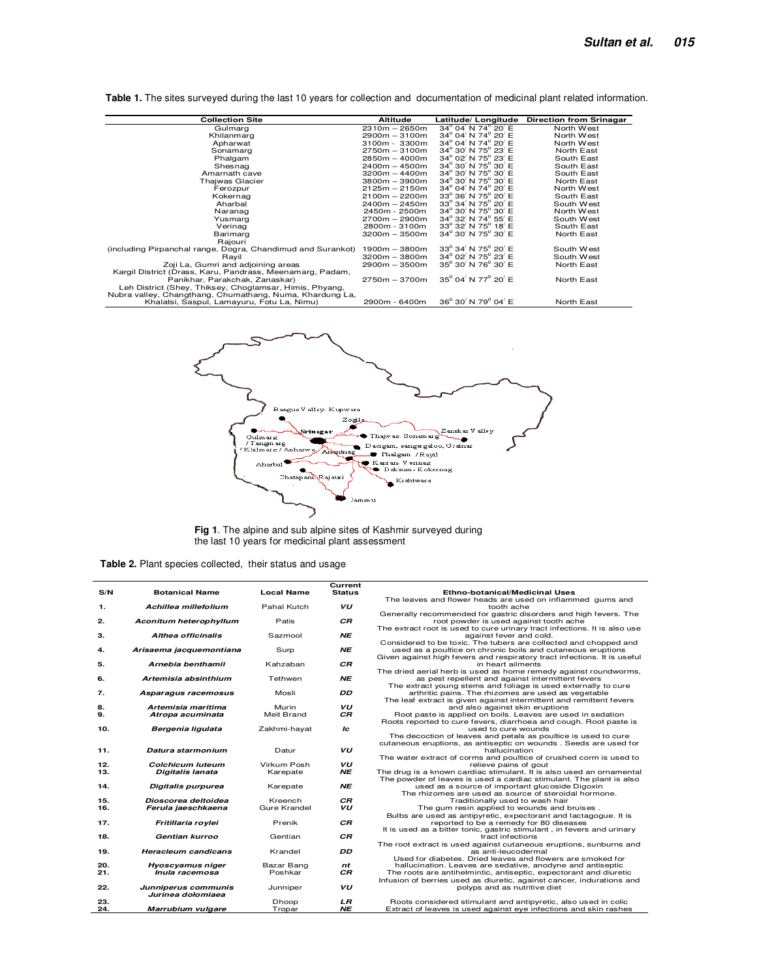**Table 1.** The sites surveyed during the last 10 years for collection and documentation of medicinal plant related information.

| <b>Collection Site</b>                                      | <b>Altitude</b> | Latitude/ Longitude                                              | <b>Direction from Srinagar</b> |
|-------------------------------------------------------------|-----------------|------------------------------------------------------------------|--------------------------------|
| Gulmarg                                                     | $2310m - 2650m$ | $34^{\circ}$ 04 $'$ N $74^{\circ}$ 20 $'$ E                      | North West                     |
| Khilanmarg                                                  | $2900m - 3100m$ | $34^{\circ}$ 04' N 74 $^{\circ}$ 20' E                           | North West                     |
| Apharwat                                                    | $3100m - 3300m$ | $34^{\circ}$ 04 $'$ N 74 $^{\circ}$ 20 $'$ E                     | North West                     |
| Sonamarg                                                    | $2750m - 3100m$ | $34^{\circ}$ 30 $'$ N 75 $^{\circ}$ 23 $'$ E                     | North East                     |
| Phalgam                                                     | $2850m - 4000m$ | $34^{\circ}$ 02 $'$ N 75 $^{\circ}$ 23 $'$ E                     | South East                     |
| Shesnag                                                     | $2400m - 4500m$ | $34^{\circ}$ 30 <sup>'</sup> N 75 <sup>°</sup> 30 <sup>'</sup> E | South East                     |
| Amarnath cave                                               | $3200m - 4400m$ | $34^{\circ}$ 30' N 75 $^{\circ}$ 30' E                           | South East                     |
| Thajwas Glacier                                             | $3800m - 3900m$ | $34^{\circ}$ 30' N 75 $^{\circ}$ 30' E                           | North East                     |
| Ferozpur                                                    | $2125m - 2150m$ | $34^{\circ}$ 04 $'$ N 74 $^{\circ}$ 20 $'$ E                     | North West                     |
| Kokernag                                                    | $2100m - 2200m$ | $33^{\circ}$ 36' N 75 $^{\circ}$ 20' E                           | South East                     |
| Aharbal                                                     | $2400m - 2450m$ | $33^{\circ}$ 34' N 75 $^{\circ}$ 20' E                           | South West                     |
| Naranag                                                     | 2450m - 2500m   | $34^{\circ}$ 30' N 75 $^{\circ}$ 30' E                           | North West                     |
| Yusmarg                                                     | $2700m - 2900m$ | $34^{\circ}$ 32' N 74 $^{\circ}$ 55' E                           | South West                     |
| Verinag                                                     | 2800m - 3100m   | $33^{\circ}$ 32 $'$ N 75 $^{\circ}$ 18 $'$ E                     | South East                     |
| Barimarg                                                    | $3200m - 3500m$ | $34^{\circ}$ 30' N 75 $^{\circ}$ 30' E                           | North East                     |
| Rajouri                                                     |                 |                                                                  |                                |
| (including Pirpanchal range, Dogra, Chandimud and Surankot) | $1900m - 3800m$ | $33^{\circ}$ 34' N 75 $^{\circ}$ 20' E                           | South West                     |
| Rayil                                                       | $3200m - 3800m$ | $34^{\circ}$ 02 $'$ N 75 $^{\circ}$ 23 $'$ E                     | South West                     |
| Zoji La, Gumri and adjoining areas                          | $2900m - 3500m$ | $35^{\circ}$ 30' N 76 $^{\circ}$ 30' E                           | North East                     |
| Kargil District (Drass, Karu, Pandrass, Meenamarg, Padam,   |                 |                                                                  |                                |
| Panikhar, Parakchak, Zanaskar)                              | $2750m - 3700m$ | $35^{\circ}$ 04 $^{\prime}$ N 77 $^{\circ}$ 20 $^{\prime}$ E     | North East                     |
| Leh District (Shey, Thiksey, Choglamsar, Himis, Phyang,     |                 |                                                                  |                                |
| Nubra valley, Changthang, Chumathang, Numa, Khardung La,    |                 |                                                                  |                                |
| Khalatsi, Saspul, Lamayuru, Fotu La, Nimu)                  | 2900m - 6400m   | $36^{\circ}$ 30 <sup>'</sup> N 79 <sup>°</sup> 04 <sup>'</sup> E | North East                     |



**Fig 1**. The alpine and sub alpine sites of Kashmir surveyed during the last 10 years for medicinal plant assessment

|  |  |  | <b>Table 2.</b> Plant species collected, their status and usage |  |  |  |  |
|--|--|--|-----------------------------------------------------------------|--|--|--|--|
|--|--|--|-----------------------------------------------------------------|--|--|--|--|

 $\overline{a}$ 

|            |                               |                     | Current         |                                                                                                             |
|------------|-------------------------------|---------------------|-----------------|-------------------------------------------------------------------------------------------------------------|
| S/N        | <b>Botanical Name</b>         | <b>Local Name</b>   | <b>Status</b>   | Ethno-botanical/Medicinal Uses                                                                              |
|            |                               |                     |                 | The leaves and flower heads are used on inflammed gums and                                                  |
| 1.         | Achillea millefolium          | Pahal Kutch         | VU              | tooth ache                                                                                                  |
|            |                               |                     |                 | Generally recommended for gastric disorders and high fevers. The                                            |
| 2.         | <b>Aconitum heterophyllum</b> | Patis               | СR              | root powder is used against tooth ache                                                                      |
|            |                               |                     |                 | The extract root is used to cure urinary tract infections. It is also use                                   |
| з.         | Althea officinalis            | Sazmool             | <b>NE</b>       | against fever and cold.                                                                                     |
|            |                               |                     |                 | Considered to be toxic. The tubers are collected and chopped and                                            |
| 4.         | Arisaema jacquemontiana       | Surp                | <b>NE</b>       | used as a poultice on chronic boils and cutaneous eruptions                                                 |
| 5.         | Arnebia benthamii             | Kahzaban            | <b>CR</b>       | Given against high fevers and respiratory tract infections. It is useful<br>in heart ailments               |
|            |                               |                     |                 | The dried aerial herb is used as home remedy against roundworms,                                            |
| 6.         | Artemisia absinthium          | Tethwen             | <b>NE</b>       | as pest repellent and against intermittent fevers                                                           |
|            |                               |                     |                 | The extract young stems and foliage is used externally to cure                                              |
| 7.         | Asparagus racemosus           | Mosli               | <b>DD</b>       | arthritic pains. The rhizomes are used as vegetable                                                         |
|            |                               |                     |                 | The leaf extract is given against intermittent and remittent fevers                                         |
| 8.         | Artemisia maritima            | Murin               | VU              | and also against skin eruptions                                                                             |
| 9.         | Atropa acuminata              | Meit Brand          | <b>CR</b>       | Root paste is applied on boils. Leaves are used in sedation                                                 |
|            |                               |                     |                 | Roots reported to cure fevers, diarrhoea and cough. Root paste is                                           |
| 10.        | Bergenia ligulata             | Zakhmi-hayat        | Ic              | used to cure wounds                                                                                         |
|            |                               |                     |                 | The decoction of leaves and petals as poultice is used to cure                                              |
|            |                               |                     |                 | cutaneous eruptions, as antiseptic on wounds . Seeds are used for                                           |
| 11.        | Datura starmonium             | Datur               | VU              | hallucination                                                                                               |
|            |                               |                     |                 | The water extract of corms and poultice of crushed corm is used to                                          |
| 12.        | <b>Colchicum luteum</b>       | Virkum Posh         | VU              | relieve pains of gout                                                                                       |
| 13.        | <b>Digitalis lanata</b>       | Karepate            | NE              | The drug is a known cardiac stimulant. It is also used an ornamental                                        |
|            |                               |                     |                 | The powder of leaves is used a cardiac stimulant. The plant is also                                         |
| 14.        | Digitalis purpurea            | Karepate            | <b>NE</b>       | used as a source of important glucoside Digoxin                                                             |
|            |                               |                     |                 | The rhizomes are used as source of steroidal hormone.                                                       |
| 15.<br>16. | Dioscorea deltoidea           | Kreench             | <b>CR</b><br>VU | Traditionally used to wash hair                                                                             |
|            | Ferula jaeschkaena            | <b>Gure Krandel</b> |                 | The gum resin applied to wounds and bruises.                                                                |
| 17.        | Fritillaria roylei            | Prenik              | <b>CR</b>       | Bulbs are used as antipyretic, expectorant and lactagogue. It is<br>reported to be a remedy for 80 diseases |
|            |                               |                     |                 | It is used as a bitter tonic, gastric stimulant, in fevers and urinary                                      |
| 18.        | Gentian kurroo                | Gentian             | <b>CR</b>       | tract infections                                                                                            |
|            |                               |                     |                 | The root extract is used against cutaneous eruptions, sunburns and                                          |
| 19.        | <b>Heracleum candicans</b>    | Krandel             | <b>DD</b>       | as anti-leucodermal                                                                                         |
|            |                               |                     |                 | Used for diabetes. Dried leaves and flowers are smoked for                                                  |
| 20.        | Hyoscyamus niger              | Bazar Bang          | nt              | hallucination. Leaves are sedative, anodyne and antiseptic                                                  |
| 21.        | Inula racemosa                | Poshkar             | <b>CR</b>       | The roots are antihelmintic, antiseptic, expectorant and diuretic                                           |
|            |                               |                     |                 | Infusion of berries used as diuretic, against cancer, indurations and                                       |
| 22.        | Junniperus communis           | Junniper            | VU              | polyps and as nutritive diet                                                                                |
|            | Jurinea dolomiaea             |                     |                 |                                                                                                             |
| 23.        |                               | Dhoop               | LR              | Roots considered stimulant and antipyretic, also used in colic                                              |
| 24.        | Marrubium vulgare             | Tropar              | <b>NE</b>       | Extract of leaves is used against eye infections and skin rashes                                            |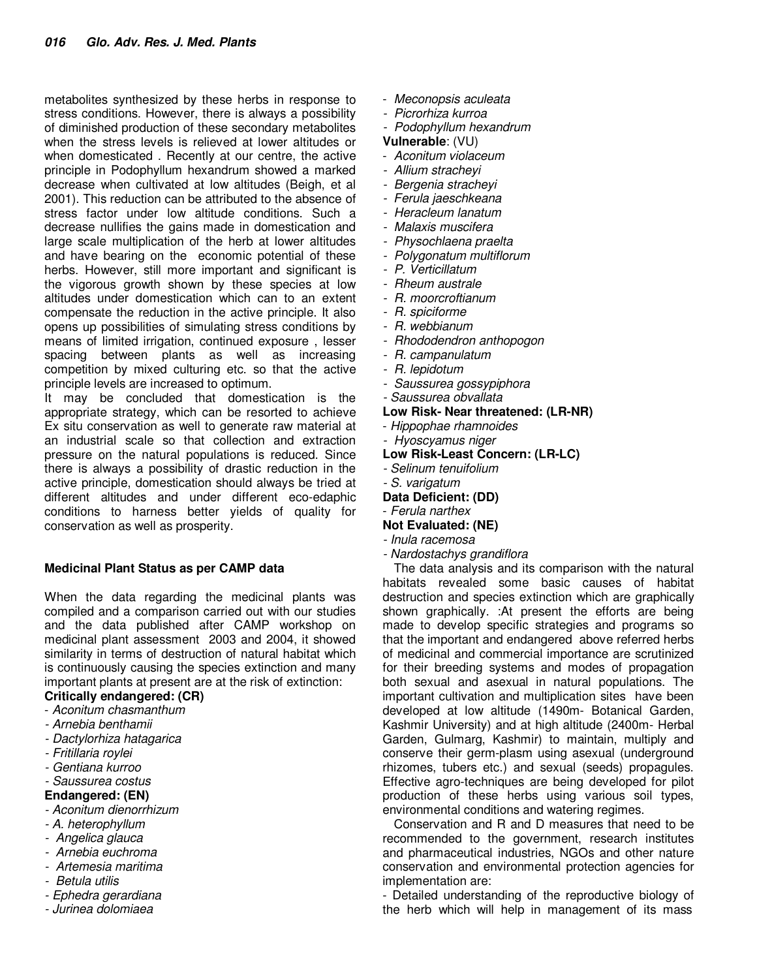metabolites synthesized by these herbs in response to stress conditions. However, there is always a possibility of diminished production of these secondary metabolites when the stress levels is relieved at lower altitudes or when domesticated . Recently at our centre, the active principle in Podophyllum hexandrum showed a marked decrease when cultivated at low altitudes (Beigh, et al 2001). This reduction can be attributed to the absence of stress factor under low altitude conditions. Such a decrease nullifies the gains made in domestication and large scale multiplication of the herb at lower altitudes and have bearing on the economic potential of these herbs. However, still more important and significant is the vigorous growth shown by these species at low altitudes under domestication which can to an extent compensate the reduction in the active principle. It also opens up possibilities of simulating stress conditions by means of limited irrigation, continued exposure , lesser spacing between plants as well as increasing competition by mixed culturing etc. so that the active principle levels are increased to optimum.

It may be concluded that domestication is the appropriate strategy, which can be resorted to achieve Ex situ conservation as well to generate raw material at an industrial scale so that collection and extraction pressure on the natural populations is reduced. Since there is always a possibility of drastic reduction in the active principle, domestication should always be tried at different altitudes and under different eco-edaphic conditions to harness better yields of quality for conservation as well as prosperity.

#### **Medicinal Plant Status as per CAMP data**

When the data regarding the medicinal plants was compiled and a comparison carried out with our studies and the data published after CAMP workshop on medicinal plant assessment 2003 and 2004, it showed similarity in terms of destruction of natural habitat which is continuously causing the species extinction and many important plants at present are at the risk of extinction:

## **Critically endangered: (CR)**

- Aconitum chasmanthum
- Arnebia benthamii
- Dactylorhiza hatagarica
- Fritillaria roylei
- Gentiana kurroo
- Saussurea costus

#### **Endangered: (EN)**

- Aconitum dienorrhizum
- A. heterophyllum
- Angelica glauca
- Arnebia euchroma
- Artemesia maritima
- Betula utilis
- Ephedra gerardiana
- Jurinea dolomiaea
- Meconopsis aculeata
- Picrorhiza kurroa
- Podophyllum hexandrum

#### **Vulnerable**: (VU)

- Aconitum violaceum
- Allium stracheyi
- Bergenia stracheyi
- Ferula jaeschkeana
- Heracleum lanatum
- Malaxis muscifera
- Physochlaena praelta
- Polygonatum multiflorum
- P. Verticillatum
- Rheum australe
- R. moorcroftianum
- R. spiciforme
- R. webbianum
- Rhododendron anthopogon
- R. campanulatum
- R. lepidotum
- Saussurea gossypiphora
- Saussurea obvallata
- **Low Risk- Near threatened: (LR-NR)**
- Hippophae rhamnoides
- Hyoscyamus niger
- **Low Risk-Least Concern: (LR-LC)**
- Selinum tenuifolium
- S. varigatum
- **Data Deficient: (DD)**
- Ferula narthex

## **Not Evaluated: (NE)**

- Inula racemosa
- Nardostachys grandiflora

The data analysis and its comparison with the natural habitats revealed some basic causes of habitat destruction and species extinction which are graphically shown graphically. :At present the efforts are being made to develop specific strategies and programs so that the important and endangered above referred herbs of medicinal and commercial importance are scrutinized for their breeding systems and modes of propagation both sexual and asexual in natural populations. The important cultivation and multiplication sites have been developed at low altitude (1490m- Botanical Garden, Kashmir University) and at high altitude (2400m- Herbal Garden, Gulmarg, Kashmir) to maintain, multiply and conserve their germ-plasm using asexual (underground rhizomes, tubers etc.) and sexual (seeds) propagules. Effective agro-techniques are being developed for pilot production of these herbs using various soil types, environmental conditions and watering regimes.

Conservation and R and D measures that need to be recommended to the government, research institutes and pharmaceutical industries, NGOs and other nature conservation and environmental protection agencies for implementation are:

- Detailed understanding of the reproductive biology of the herb which will help in management of its mass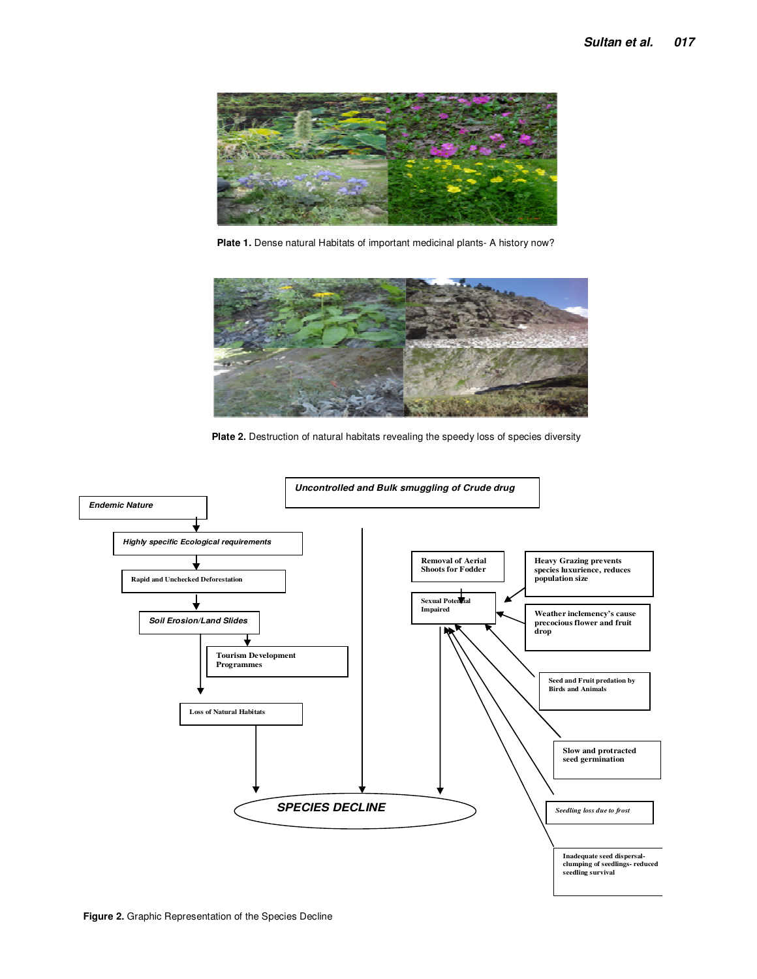

**Plate 1.** Dense natural Habitats of important medicinal plants- A history now?



**Plate 2.** Destruction of natural habitats revealing the speedy loss of species diversity

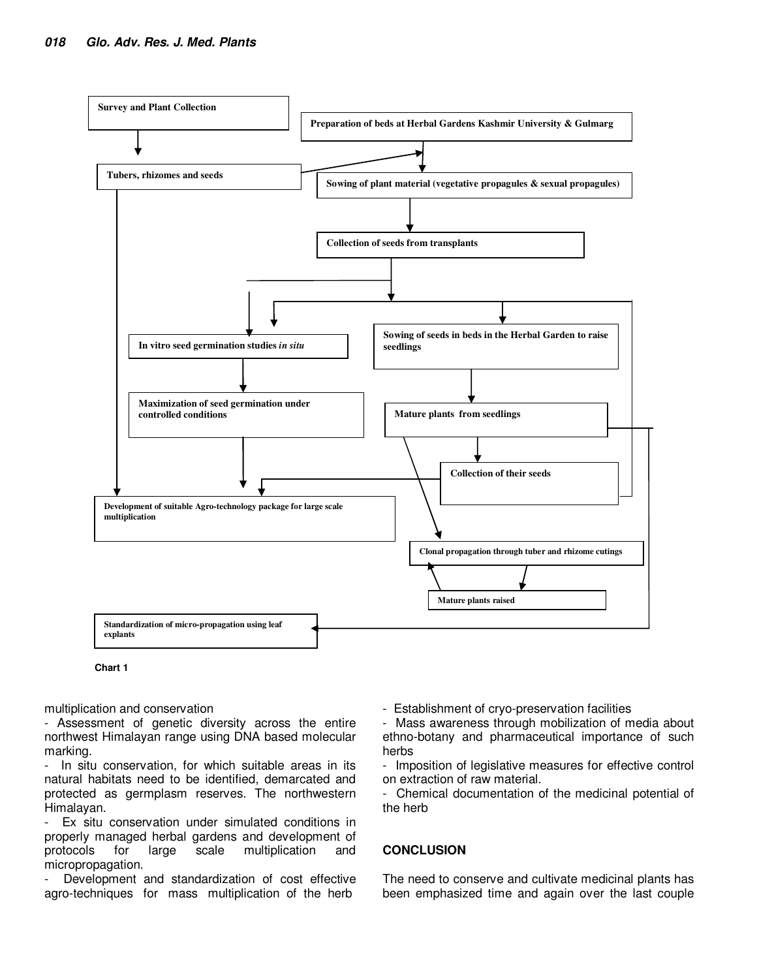



multiplication and conservation

- Assessment of genetic diversity across the entire northwest Himalayan range using DNA based molecular marking.

- In situ conservation, for which suitable areas in its natural habitats need to be identified, demarcated and protected as germplasm reserves. The northwestern Himalayan.

Ex situ conservation under simulated conditions in properly managed herbal gardens and development of protocols for large scale multiplication and micropropagation.

Development and standardization of cost effective agro-techniques for mass multiplication of the herb

- Establishment of cryo-preservation facilities

- Mass awareness through mobilization of media about ethno-botany and pharmaceutical importance of such herbs

- Imposition of legislative measures for effective control on extraction of raw material.

- Chemical documentation of the medicinal potential of the herb

## **CONCLUSION**

The need to conserve and cultivate medicinal plants has been emphasized time and again over the last couple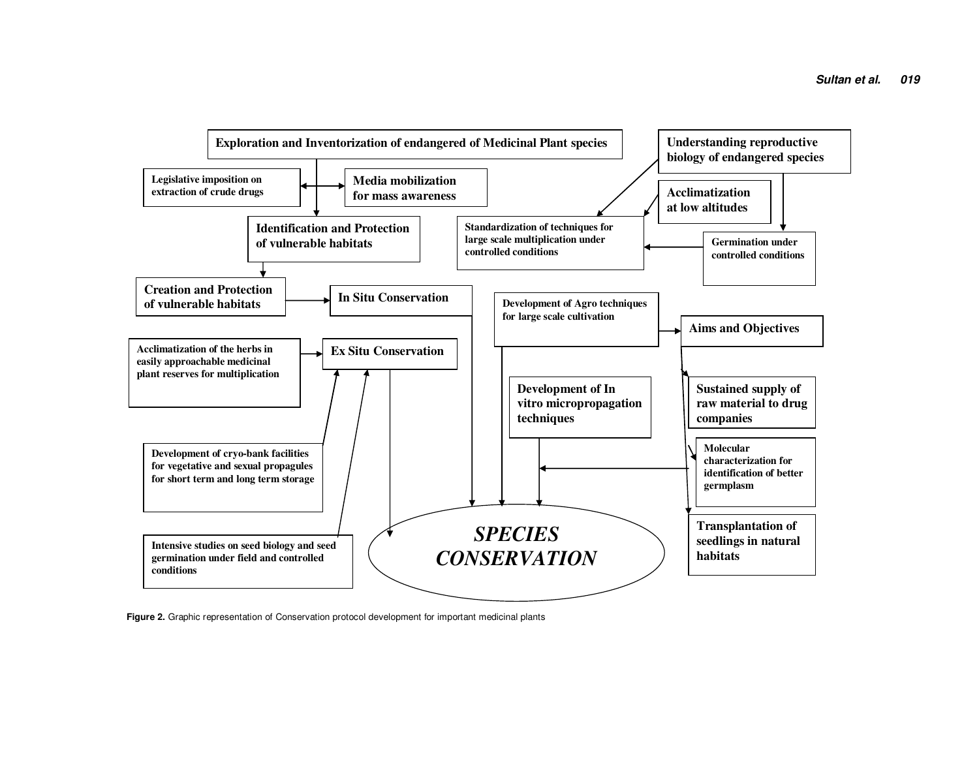

**Figure 2.** Graphic representation of Conservation protocol development for important medicinal plants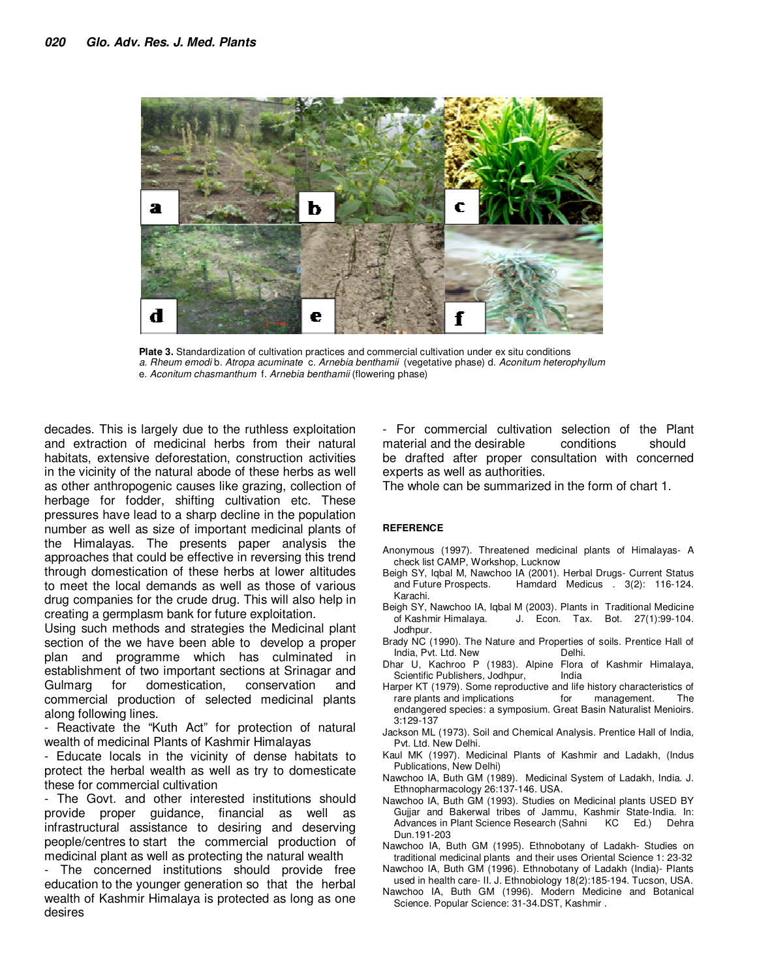

**Plate 3.** Standardization of cultivation practices and commercial cultivation under ex situ conditions a. Rheum emodi b. Atropa acuminate c. Arnebia benthamii (vegetative phase) d. Aconitum heterophyllum e. Aconitum chasmanthum f. Arnebia benthamii (flowering phase)

decades. This is largely due to the ruthless exploitation and extraction of medicinal herbs from their natural habitats, extensive deforestation, construction activities in the vicinity of the natural abode of these herbs as well as other anthropogenic causes like grazing, collection of herbage for fodder, shifting cultivation etc. These pressures have lead to a sharp decline in the population number as well as size of important medicinal plants of the Himalayas. The presents paper analysis the approaches that could be effective in reversing this trend through domestication of these herbs at lower altitudes to meet the local demands as well as those of various drug companies for the crude drug. This will also help in creating a germplasm bank for future exploitation.

Using such methods and strategies the Medicinal plant section of the we have been able to develop a proper plan and programme which has culminated in establishment of two important sections at Srinagar and Gulmarg for domestication, conservation and commercial production of selected medicinal plants along following lines.

- Reactivate the "Kuth Act" for protection of natural wealth of medicinal Plants of Kashmir Himalayas

- Educate locals in the vicinity of dense habitats to protect the herbal wealth as well as try to domesticate these for commercial cultivation

- The Govt. and other interested institutions should provide proper guidance, financial as well as infrastructural assistance to desiring and deserving people/centres to start the commercial production of medicinal plant as well as protecting the natural wealth

The concerned institutions should provide free education to the younger generation so that the herbal wealth of Kashmir Himalaya is protected as long as one desires

- For commercial cultivation selection of the Plant material and the desirable conditions should be drafted after proper consultation with concerned experts as well as authorities.

The whole can be summarized in the form of chart 1.

#### **REFERENCE**

- Anonymous (1997). Threatened medicinal plants of Himalayas- A check list CAMP, Workshop, Lucknow
- Beigh SY, Iqbal M, Nawchoo IA (2001). Herbal Drugs- Current Status<br>and Future Prospects. Hamdard Medicus . 3(2): 116-124. Hamdard Medicus . 3(2): 116-124. Karachi.
- Beigh SY, Nawchoo IA, Iqbal M (2003). Plants in Traditional Medicine of Kashmir Himalaya. J. Econ. Tax. Bot. 27(1):99-104. Jodhpur.
- Brady NC (1990). The Nature and Properties of soils. Prentice Hall of<br>India, Pvt. Ltd. New Delhi. India, Pvt. Ltd. New
- Dhar U, Kachroo P (1983). Alpine Flora of Kashmir Himalaya, Scientific Publishers, Jodhpur, India
- Harper KT (1979). Some reproductive and life history characteristics of<br>rare plants and implications for management. The rare plants and implications endangered species: a symposium. Great Basin Naturalist Menioirs. 3:129-137
- Jackson ML (1973). Soil and Chemical Analysis. Prentice Hall of India, Pvt. Ltd. New Delhi.
- Kaul MK (1997). Medicinal Plants of Kashmir and Ladakh, (Indus Publications, New Delhi)
- Nawchoo IA, Buth GM (1989). Medicinal System of Ladakh, India. J. Ethnopharmacology 26:137-146. USA.
- Nawchoo IA, Buth GM (1993). Studies on Medicinal plants USED BY Gujjar and Bakerwal tribes of Jammu, Kashmir State-India. In: Advances in Plant Science Research (Sahni KC Ed.) Dehra Dun.191-203
- Nawchoo IA, Buth GM (1995). Ethnobotany of Ladakh- Studies on traditional medicinal plants and their uses Oriental Science 1: 23-32
- Nawchoo IA, Buth GM (1996). Ethnobotany of Ladakh (India)- Plants used in health care- II. J. Ethnobiology 18(2):185-194. Tucson, USA.
- Nawchoo IA, Buth GM (1996). Modern Medicine and Botanical Science. Popular Science: 31-34.DST, Kashmir .